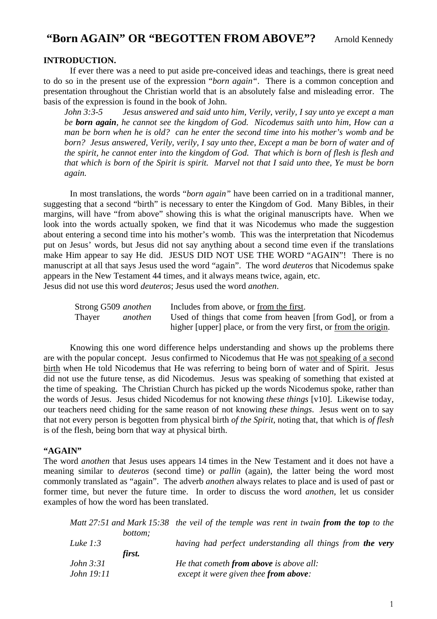# **"Born AGAIN" OR "BEGOTTEN FROM ABOVE"?** Arnold Kennedy

# **INTRODUCTION.**

 If ever there was a need to put aside pre-conceived ideas and teachings, there is great need to do so in the present use of the expression "*born again"*. There is a common conception and presentation throughout the Christian world that is an absolutely false and misleading error. The basis of the expression is found in the book of John.

*John 3:3-5 Jesus answered and said unto him, Verily, verily, I say unto ye except a man be born again, he cannot see the kingdom of God. Nicodemus saith unto him, How can a man be born when he is old? can he enter the second time into his mother's womb and be born? Jesus answered, Verily, verily, I say unto thee, Except a man be born of water and of the spirit, he cannot enter into the kingdom of God. That which is born of flesh is flesh and that which is born of the Spirit is spirit. Marvel not that I said unto thee, Ye must be born again.* 

 In most translations, the words "*born again"* have been carried on in a traditional manner, suggesting that a second "birth" is necessary to enter the Kingdom of God. Many Bibles, in their margins, will have "from above" showing this is what the original manuscripts have. When we look into the words actually spoken, we find that it was Nicodemus who made the suggestion about entering a second time into his mother's womb. This was the interpretation that Nicodemus put on Jesus' words, but Jesus did not say anything about a second time even if the translations make Him appear to say He did. JESUS DID NOT USE THE WORD "AGAIN"! There is no manuscript at all that says Jesus used the word "again". The word *deuteros* that Nicodemus spake appears in the New Testament 44 times, and it always means twice, again, etc. Jesus did not use this word *deuteros*; Jesus used the word *anothen*.

| Strong G509 anothen |         | Includes from above, or from the first.                           |
|---------------------|---------|-------------------------------------------------------------------|
| Thayer              | anothen | Used of things that come from heaven [from God], or from a        |
|                     |         | higher [upper] place, or from the very first, or from the origin. |

 Knowing this one word difference helps understanding and shows up the problems there are with the popular concept. Jesus confirmed to Nicodemus that He was not speaking of a second birth when He told Nicodemus that He was referring to being born of water and of Spirit. Jesus did not use the future tense, as did Nicodemus. Jesus was speaking of something that existed at the time of speaking. The Christian Church has picked up the words Nicodemus spoke, rather than the words of Jesus. Jesus chided Nicodemus for not knowing *these things* [v10]. Likewise today, our teachers need chiding for the same reason of not knowing *these things*. Jesus went on to say that not every person is begotten from physical birth *of the Spirit*, noting that, that which is *of flesh* is of the flesh, being born that way at physical birth.

## **"AGAIN"**

The word *anothen* that Jesus uses appears 14 times in the New Testament and it does not have a meaning similar to *deuteros* (second time) or *pallin* (again), the latter being the word most commonly translated as "again". The adverb *anothen* always relates to place and is used of past or former time, but never the future time. In order to discuss the word *anothen*, let us consider examples of how the word has been translated.

|                   | Matt 27:51 and Mark 15:38 the veil of the temple was rent in twain from the top to the |
|-------------------|----------------------------------------------------------------------------------------|
| <i>bottom:</i>    |                                                                                        |
| Luke $1:3$        | having had perfect understanding all things from <b>the very</b>                       |
| first.            |                                                                                        |
| <i>John 3:31</i>  | He that cometh from above is above all:                                                |
| <i>John 19:11</i> | except it were given thee from above:                                                  |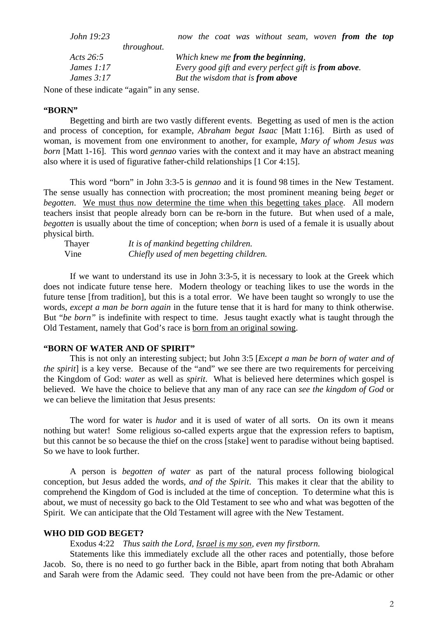| <i>John 19:23</i> |                    |                                                       |  |  |  | now the coat was without seam, woven from the top |  |  |  |
|-------------------|--------------------|-------------------------------------------------------|--|--|--|---------------------------------------------------|--|--|--|
|                   | <i>throughout.</i> |                                                       |  |  |  |                                                   |  |  |  |
| Acts $26:5$       |                    |                                                       |  |  |  | Which knew me from the beginning,                 |  |  |  |
| James $1:17$      |                    | Every good gift and every perfect gift is from above. |  |  |  |                                                   |  |  |  |
| James $3:17$      |                    |                                                       |  |  |  | But the wisdom that is from above                 |  |  |  |

None of these indicate "again" in any sense.

### **"BORN"**

 Begetting and birth are two vastly different events. Begetting as used of men is the action and process of conception, for example, *Abraham begat Isaac* [Matt 1:16]. Birth as used of woman, is movement from one environment to another, for example, *Mary of whom Jesus was born* [Matt 1-16]. This word *gennao* varies with the context and it may have an abstract meaning also where it is used of figurative father-child relationships [1 Cor 4:15].

 This word "born" in John 3:3-5 is *gennao* and it is found 98 times in the New Testament. The sense usually has connection with procreation; the most prominent meaning being *beget* or *begotten*. We must thus now determine the time when this begetting takes place. All modern teachers insist that people already born can be re-born in the future. But when used of a male, *begotten* is usually about the time of conception; when *born* is used of a female it is usually about physical birth.

| Thayer | It is of mankind begetting children.    |
|--------|-----------------------------------------|
| Vine   | Chiefly used of men begetting children. |

 If we want to understand its use in John 3:3-5, it is necessary to look at the Greek which does not indicate future tense here. Modern theology or teaching likes to use the words in the future tense [from tradition], but this is a total error. We have been taught so wrongly to use the words, *except a man be born again* in the future tense that it is hard for many to think otherwise. But "*be born"* is indefinite with respect to time. Jesus taught exactly what is taught through the Old Testament, namely that God's race is born from an original sowing.

## **"BORN OF WATER AND OF SPIRIT"**

 This is not only an interesting subject; but John 3:5 [*Except a man be born of water and of the spirit*] is a key verse. Because of the "and" we see there are two requirements for perceiving the Kingdom of God: *water* as well as *spirit*. What is believed here determines which gospel is believed. We have the choice to believe that any man of any race can *see the kingdom of God* or we can believe the limitation that Jesus presents:

 The word for water is *hudor* and it is used of water of all sorts. On its own it means nothing but water! Some religious so-called experts argue that the expression refers to baptism, but this cannot be so because the thief on the cross [stake] went to paradise without being baptised. So we have to look further.

 A person is *begotten of water* as part of the natural process following biological conception, but Jesus added the words*, and of the Spirit*. This makes it clear that the ability to comprehend the Kingdom of God is included at the time of conception. To determine what this is about, we must of necessity go back to the Old Testament to see who and what was begotten of the Spirit. We can anticipate that the Old Testament will agree with the New Testament.

#### **WHO DID GOD BEGET?**

Exodus 4:22 *Thus saith the Lord, Israel is my son, even my firstborn.*

 Statements like this immediately exclude all the other races and potentially, those before Jacob. So, there is no need to go further back in the Bible, apart from noting that both Abraham and Sarah were from the Adamic seed. They could not have been from the pre-Adamic or other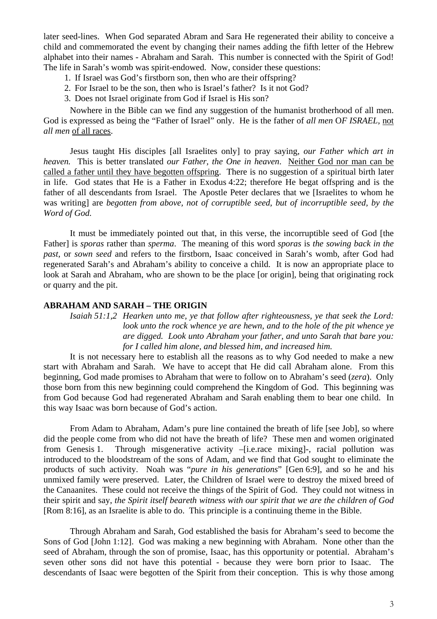later seed-lines. When God separated Abram and Sara He regenerated their ability to conceive a child and commemorated the event by changing their names adding the fifth letter of the Hebrew alphabet into their names - Abraham and Sarah. This number is connected with the Spirit of God! The life in Sarah's womb was spirit-endowed. Now, consider these questions:

- 1. If Israel was God's firstborn son, then who are their offspring?
- 2. For Israel to be the son, then who is Israel's father? Is it not God?
- 3. Does not Israel originate from God if Israel is His son?

 Nowhere in the Bible can we find any suggestion of the humanist brotherhood of all men. God is expressed as being the "Father of Israel" only. He is the father of *all men* O*F ISRAEL,* not *all men* of all races.

 Jesus taught His disciples [all Israelites only] to pray saying, *our Father which art in heaven.* This is better translated *our Father, the One in heaven*. Neither God nor man can be called a father until they have begotten offspring. There is no suggestion of a spiritual birth later in life. God states that He is a Father in Exodus 4:22; therefore He begat offspring and is the father of all descendants from Israel. The Apostle Peter declares that we [Israelites to whom he was writing] are *begotten from above, not of corruptible seed, but of incorruptible seed, by the Word of God.* 

 It must be immediately pointed out that, in this verse, the incorruptible seed of God [the Father] is *sporas* rather than *sperma*. The meaning of this word *sporas* is *the sowing back in the past*, or *sown seed* and refers to the firstborn, Isaac conceived in Sarah's womb, after God had regenerated Sarah's and Abraham's ability to conceive a child. It is now an appropriate place to look at Sarah and Abraham, who are shown to be the place [or origin], being that originating rock or quarry and the pit.

## **ABRAHAM AND SARAH – THE ORIGIN**

*Isaiah 51:1,2 Hearken unto me, ye that follow after righteousness, ye that seek the Lord: look unto the rock whence ye are hewn, and to the hole of the pit whence ye are digged. Look unto Abraham your father, and unto Sarah that bare you: for I called him alone, and blessed him, and increased him.* 

 It is not necessary here to establish all the reasons as to why God needed to make a new start with Abraham and Sarah. We have to accept that He did call Abraham alone. From this beginning, God made promises to Abraham that were to follow on to Abraham's seed (*zera*). Only those born from this new beginning could comprehend the Kingdom of God. This beginning was from God because God had regenerated Abraham and Sarah enabling them to bear one child. In this way Isaac was born because of God's action.

 From Adam to Abraham, Adam's pure line contained the breath of life [see Job], so where did the people come from who did not have the breath of life? These men and women originated from Genesis 1. Through misgenerative activity –[i.e.race mixing]-, racial pollution was introduced to the bloodstream of the sons of Adam, and we find that God sought to eliminate the products of such activity. Noah was "*pure in his generations*" [Gen 6:9], and so he and his unmixed family were preserved. Later, the Children of Israel were to destroy the mixed breed of the Canaanites. These could not receive the things of the Spirit of God. They could not witness in their spirit and say, *the Spirit itself beareth witness with our spirit that we are the children of God* [Rom 8:16], as an Israelite is able to do. This principle is a continuing theme in the Bible.

 Through Abraham and Sarah, God established the basis for Abraham's seed to become the Sons of God [John 1:12]. God was making a new beginning with Abraham. None other than the seed of Abraham, through the son of promise, Isaac, has this opportunity or potential. Abraham's seven other sons did not have this potential - because they were born prior to Isaac. The descendants of Isaac were begotten of the Spirit from their conception. This is why those among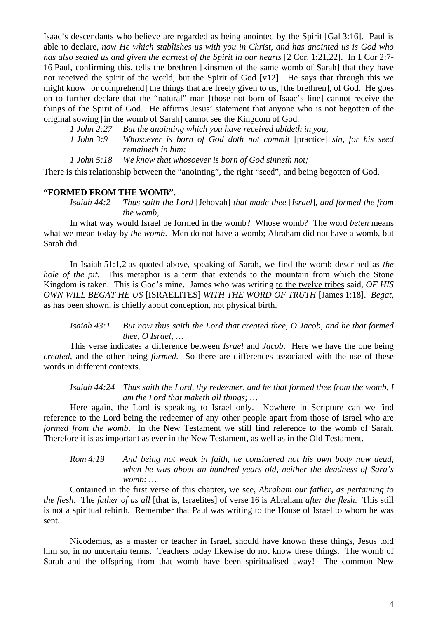Isaac's descendants who believe are regarded as being anointed by the Spirit [Gal 3:16]. Paul is able to declare, *now He which stablishes us with you in Christ, and has anointed us is God who has also sealed us and given the earnest of the Spirit in our hearts* [2 Cor. 1:21,22]. In 1 Cor 2:7- 16 Paul, confirming this, tells the brethren [kinsmen of the same womb of Sarah] that they have not received the spirit of the world, but the Spirit of God [v12]. He says that through this we might know [or comprehend] the things that are freely given to us, [the brethren], of God. He goes on to further declare that the "natural" man [those not born of Isaac's line] cannot receive the things of the Spirit of God. He affirms Jesus' statement that anyone who is not begotten of the original sowing [in the womb of Sarah] cannot see the Kingdom of God.

*1 John 2:27 But the anointing which you have received abideth in you,* 

*1 John 3:9 Whosoever is born of God doth not commit* [practice] *sin, for his seed remaineth in him:* 

*1 John 5:18 We know that whosoever is born of God sinneth not;* 

There is this relationship between the "anointing", the right "seed", and being begotten of God.

### **"FORMED FROM THE WOMB".**

*Isaiah 44:2 Thus saith the Lord* [Jehovah] *that made thee* [*Israel*], *and formed the from the womb,* 

 In what way would Israel be formed in the womb? Whose womb? The word *beten* means what we mean today by *the womb*. Men do not have a womb; Abraham did not have a womb, but Sarah did.

 In Isaiah 51:1,2 as quoted above, speaking of Sarah, we find the womb described as *the hole of the pit*. This metaphor is a term that extends to the mountain from which the Stone Kingdom is taken. This is God's mine. James who was writing to the twelve tribes said*, OF HIS OWN WILL BEGAT HE US* [ISRAELITES] *WITH THE WORD OF TRUTH* [James 1:18]. *Begat*, as has been shown, is chiefly about conception, not physical birth.

*Isaiah 43:1 But now thus saith the Lord that created thee, O Jacob, and he that formed thee, O Israel, …* 

 This verse indicates a difference between *Israel* and *Jacob*. Here we have the one being *created*, and the other being *formed*. So there are differences associated with the use of these words in different contexts.

*Isaiah 44:24 Thus saith the Lord, thy redeemer, and he that formed thee from the womb, I am the Lord that maketh all things; …* 

 Here again, the Lord is speaking to Israel only. Nowhere in Scripture can we find reference to the Lord being the redeemer of any other people apart from those of Israel who are *formed from the womb*. In the New Testament we still find reference to the womb of Sarah. Therefore it is as important as ever in the New Testament, as well as in the Old Testament.

*Rom 4:19 And being not weak in faith, he considered not his own body now dead, when he was about an hundred years old, neither the deadness of Sara's womb: …* 

 Contained in the first verse of this chapter, we see, *Abraham our father, as pertaining to the flesh*. The *father of us all* [that is, Israelites] of verse 16 is Abraham *after the flesh*. This still is not a spiritual rebirth. Remember that Paul was writing to the House of Israel to whom he was sent.

 Nicodemus, as a master or teacher in Israel, should have known these things, Jesus told him so, in no uncertain terms. Teachers today likewise do not know these things. The womb of Sarah and the offspring from that womb have been spiritualised away! The common New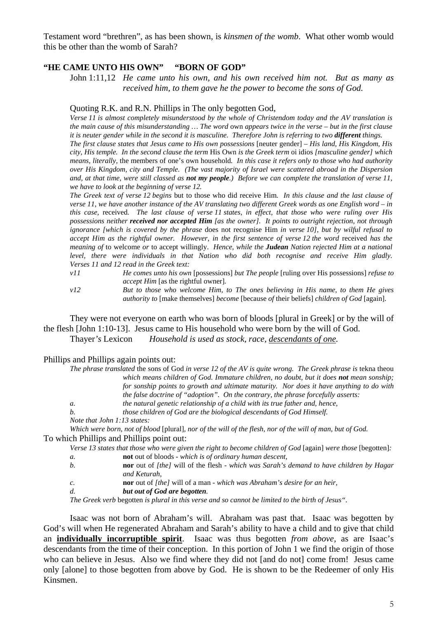Testament word "brethren", as has been shown, is *kinsmen of the womb*. What other womb would this be other than the womb of Sarah?

### **"HE CAME UNTO HIS OWN" "BORN OF GOD"**

John 1:11,12 *He came unto his own, and his own received him not. But as many as received him, to them gave he the power to become the sons of God.* 

#### Quoting R.K. and R.N. Phillips in The only begotten God,

*Verse 11 is almost completely misunderstood by the whole of Christendom today and the AV translation is the main cause of this misunderstanding … The word* own *appears twice in the verse – but in the first clause it is neuter gender while in the second it is masculine. Therefore John is referring to two <i>different* things.

*The first clause states that Jesus came to His own possessions* [neuter gender] *– His land, His Kingdom, His city, His temple. In the second clause the term* His Own *is the Greek term* oi idios *[masculine gender] which means, literally,* the members of one's own household*. In this case it refers only to those who had authority over His Kingdom, city and Temple. (The vast majority of Israel were scattered abroad in the Dispersion and, at that time, were still classed as not my people.) Before we can complete the translation of verse 11, we have to look at the beginning of verse 12.* 

*The Greek text of verse 12 begins* but to those who did receive Him*. In this clause and the last clause of verse 11, we have another instance of the AV translating two different Greek words as one English word – in this case,* received*. The last clause of verse 11 states, in effect, that those who were ruling over His possessions neither received nor accepted Him [as the owner]. It points to outright rejection, not through ignorance [which is covered by the phrase* does not recognise Him *in verse 10], but by wilful refusal to accept Him as the rightful owner. However, in the first sentence of verse 12 the word received has the meaning of* to welcome *or* to accept willingly. *Hence, while the Judean Nation rejected Him at a national level, there were individuals in that Nation who did both recognise and receive Him gladly. Verses 11 and 12 read in the Greek text:* 

*v11 He comes unto his own* [possessions] *but The people* [ruling over His possessions] *refuse to accept Him* [as the rightful owner]*.* 

*v12 But to those who welcome Him, to The ones believing in His name, to them He gives authority to* [make themselves] *become* [because *of* their beliefs] *children of God* [again].

They were not everyone on earth who was born of bloods [plural in Greek] or by the will of the flesh [John 1:10-13]. Jesus came to His household who were born by the will of God. Thayer*'s* Lexicon *Household is used as stock, race, descendants of one.* 

#### Phillips and Phillips again points out:

| The phrase translated the sons of God in verse 12 of the AV is quite wrong. The Greek phrase is tekna theou |
|-------------------------------------------------------------------------------------------------------------|
| which means children of God. Immature children, no doubt, but it does <b>not</b> mean sonship;              |
| for sonship points to growth and ultimate maturity. Nor does it have anything to do with                    |
| the false doctrine of "adoption". On the contrary, the phrase forcefully asserts:                           |
| the natural genetic relationship of a child with its true father and, hence,<br><i>a</i> .                  |
| <i>b.</i><br>those children of God are the biological descendants of God Himself.                           |
| Note that John 1:13 states:                                                                                 |

*Which were born, not of blood* [plural]*, nor of the will of the flesh, nor of the will of man, but of God.*  To which Phillips and Phillips point out:

|  |  | Verse 13 states that those who were given the right to become children of God [again] were those [begotten]: |
|--|--|--------------------------------------------------------------------------------------------------------------|
|--|--|--------------------------------------------------------------------------------------------------------------|

- *a.* **not** out of bloods *which is of ordinary human descent,*
- *b.* **nor** out of *[the]* will of the flesh *which was Sarah's demand to have children by Hagar and Keturah,*
- *c.* **nor** out of *[the]* will of a man *which was Abraham's desire for an heir,*
- *d. but out of God are begotten.*

*The Greek verb* begotten *is plural in this verse and so cannot be limited to the birth of Jesus".* 

 Isaac was not born of Abraham's will. Abraham was past that. Isaac was begotten by God's will when He regenerated Abraham and Sarah's ability to have a child and to give that child an **individually incorruptible spirit**. Isaac was thus begotten *from above*, as are Isaac's descendants from the time of their conception. In this portion of John 1 we find the origin of those who can believe in Jesus. Also we find where they did not [and do not] come from! Jesus came only [alone] to those begotten from above by God. He is shown to be the Redeemer of only His Kinsmen.